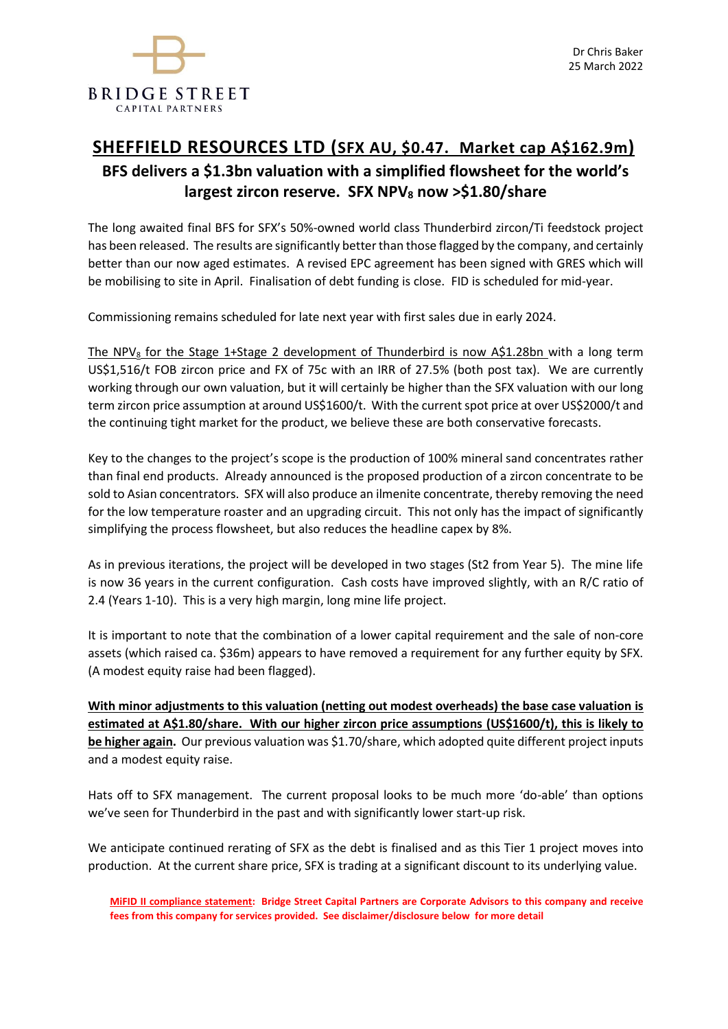

# **SHEFFIELD RESOURCES LTD (SFX AU, \$0.47. Market cap A\$162.9m) BFS delivers a \$1.3bn valuation with a simplified flowsheet for the world's largest zircon reserve. SFX NPV<sup>8</sup> now >\$1.80/share**

The long awaited final BFS for SFX's 50%-owned world class Thunderbird zircon/Ti feedstock project has been released. The results are significantly better than those flagged by the company, and certainly better than our now aged estimates. A revised EPC agreement has been signed with GRES which will be mobilising to site in April. Finalisation of debt funding is close. FID is scheduled for mid-year.

Commissioning remains scheduled for late next year with first sales due in early 2024.

The NPV<sub>8</sub> for the Stage 1+Stage 2 development of Thunderbird is now A\$1.28bn with a long term US\$1,516/t FOB zircon price and FX of 75c with an IRR of 27.5% (both post tax). We are currently working through our own valuation, but it will certainly be higher than the SFX valuation with our long term zircon price assumption at around US\$1600/t. With the current spot price at over US\$2000/t and the continuing tight market for the product, we believe these are both conservative forecasts.

Key to the changes to the project's scope is the production of 100% mineral sand concentrates rather than final end products. Already announced is the proposed production of a zircon concentrate to be sold to Asian concentrators. SFX will also produce an ilmenite concentrate, thereby removing the need for the low temperature roaster and an upgrading circuit. This not only has the impact of significantly simplifying the process flowsheet, but also reduces the headline capex by 8%.

As in previous iterations, the project will be developed in two stages (St2 from Year 5). The mine life is now 36 years in the current configuration. Cash costs have improved slightly, with an R/C ratio of 2.4 (Years 1-10). This is a very high margin, long mine life project.

It is important to note that the combination of a lower capital requirement and the sale of non-core assets (which raised ca. \$36m) appears to have removed a requirement for any further equity by SFX. (A modest equity raise had been flagged).

**With minor adjustments to this valuation (netting out modest overheads) the base case valuation is estimated at A\$1.80/share. With our higher zircon price assumptions (US\$1600/t), this is likely to be higher again.** Our previous valuation was \$1.70/share, which adopted quite different project inputs and a modest equity raise.

Hats off to SFX management. The current proposal looks to be much more 'do-able' than options we've seen for Thunderbird in the past and with significantly lower start-up risk.

We anticipate continued rerating of SFX as the debt is finalised and as this Tier 1 project moves into production. At the current share price, SFX is trading at a significant discount to its underlying value.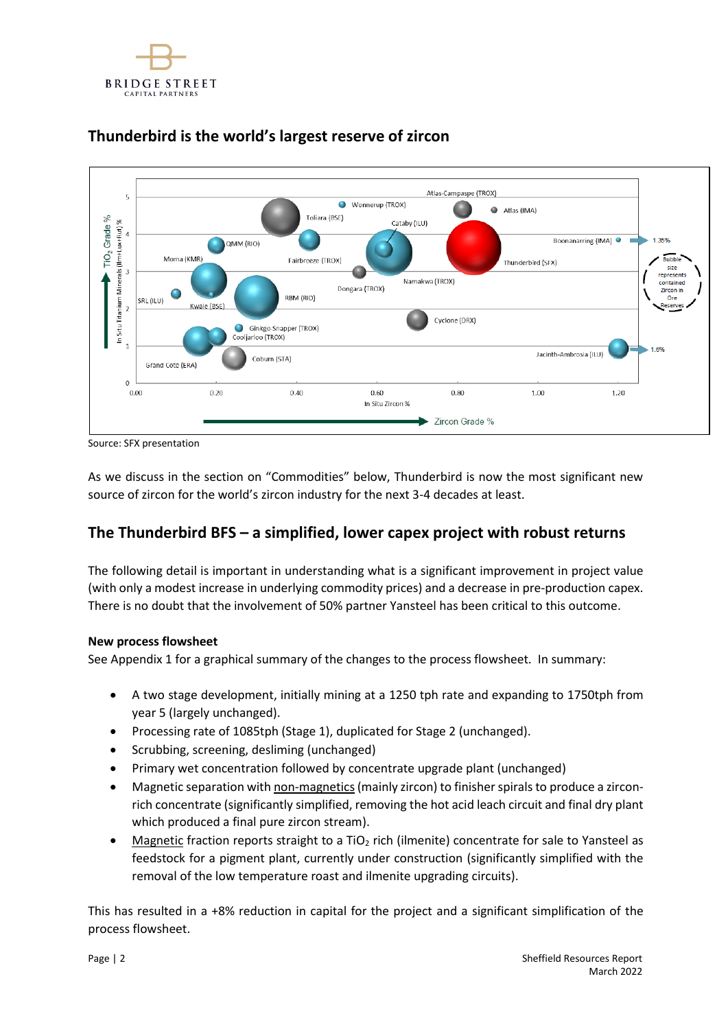



## **Thunderbird is the world's largest reserve of zircon**

Source: SFX presentation

As we discuss in the section on "Commodities" below, Thunderbird is now the most significant new source of zircon for the world's zircon industry for the next 3-4 decades at least.

## **The Thunderbird BFS – a simplified, lower capex project with robust returns**

The following detail is important in understanding what is a significant improvement in project value (with only a modest increase in underlying commodity prices) and a decrease in pre-production capex. There is no doubt that the involvement of 50% partner Yansteel has been critical to this outcome.

## **New process flowsheet**

See Appendix 1 for a graphical summary of the changes to the process flowsheet. In summary:

- A two stage development, initially mining at a 1250 tph rate and expanding to 1750tph from year 5 (largely unchanged).
- Processing rate of 1085tph (Stage 1), duplicated for Stage 2 (unchanged).
- Scrubbing, screening, desliming (unchanged)
- Primary wet concentration followed by concentrate upgrade plant (unchanged)
- Magnetic separation with non-magnetics(mainly zircon) to finisher spirals to produce a zirconrich concentrate (significantly simplified, removing the hot acid leach circuit and final dry plant which produced a final pure zircon stream).
- Magnetic fraction reports straight to a  $TiO<sub>2</sub>$  rich (ilmenite) concentrate for sale to Yansteel as feedstock for a pigment plant, currently under construction (significantly simplified with the removal of the low temperature roast and ilmenite upgrading circuits).

This has resulted in a +8% reduction in capital for the project and a significant simplification of the process flowsheet.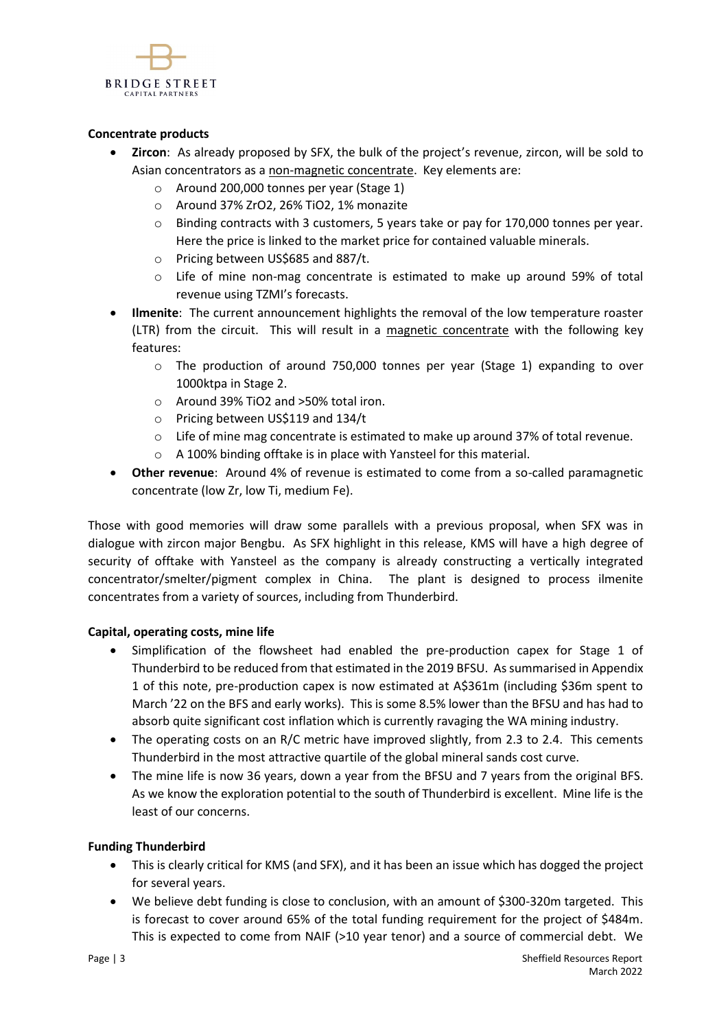

### **Concentrate products**

- **Zircon**: As already proposed by SFX, the bulk of the project's revenue, zircon, will be sold to Asian concentrators as a non-magnetic concentrate. Key elements are:
	- o Around 200,000 tonnes per year (Stage 1)
	- o Around 37% ZrO2, 26% TiO2, 1% monazite
	- $\circ$  Binding contracts with 3 customers, 5 years take or pay for 170,000 tonnes per year. Here the price is linked to the market price for contained valuable minerals.
	- o Pricing between US\$685 and 887/t.
	- $\circ$  Life of mine non-mag concentrate is estimated to make up around 59% of total revenue using TZMI's forecasts.
- **Ilmenite**: The current announcement highlights the removal of the low temperature roaster (LTR) from the circuit. This will result in a magnetic concentrate with the following key features:
	- o The production of around 750,000 tonnes per year (Stage 1) expanding to over 1000ktpa in Stage 2.
	- o Around 39% TiO2 and >50% total iron.
	- o Pricing between US\$119 and 134/t
	- $\circ$  Life of mine mag concentrate is estimated to make up around 37% of total revenue.
	- o A 100% binding offtake is in place with Yansteel for this material.
- **Other revenue**: Around 4% of revenue is estimated to come from a so-called paramagnetic concentrate (low Zr, low Ti, medium Fe).

Those with good memories will draw some parallels with a previous proposal, when SFX was in dialogue with zircon major Bengbu. As SFX highlight in this release, KMS will have a high degree of security of offtake with Yansteel as the company is already constructing a vertically integrated concentrator/smelter/pigment complex in China. The plant is designed to process ilmenite concentrates from a variety of sources, including from Thunderbird.

### **Capital, operating costs, mine life**

- Simplification of the flowsheet had enabled the pre-production capex for Stage 1 of Thunderbird to be reduced from that estimated in the 2019 BFSU. As summarised in Appendix 1 of this note, pre-production capex is now estimated at A\$361m (including \$36m spent to March '22 on the BFS and early works). This is some 8.5% lower than the BFSU and has had to absorb quite significant cost inflation which is currently ravaging the WA mining industry.
- The operating costs on an R/C metric have improved slightly, from 2.3 to 2.4. This cements Thunderbird in the most attractive quartile of the global mineral sands cost curve.
- The mine life is now 36 years, down a year from the BFSU and 7 years from the original BFS. As we know the exploration potential to the south of Thunderbird is excellent. Mine life is the least of our concerns.

### **Funding Thunderbird**

- This is clearly critical for KMS (and SFX), and it has been an issue which has dogged the project for several years.
- We believe debt funding is close to conclusion, with an amount of \$300-320m targeted. This is forecast to cover around 65% of the total funding requirement for the project of \$484m. This is expected to come from NAIF (>10 year tenor) and a source of commercial debt. We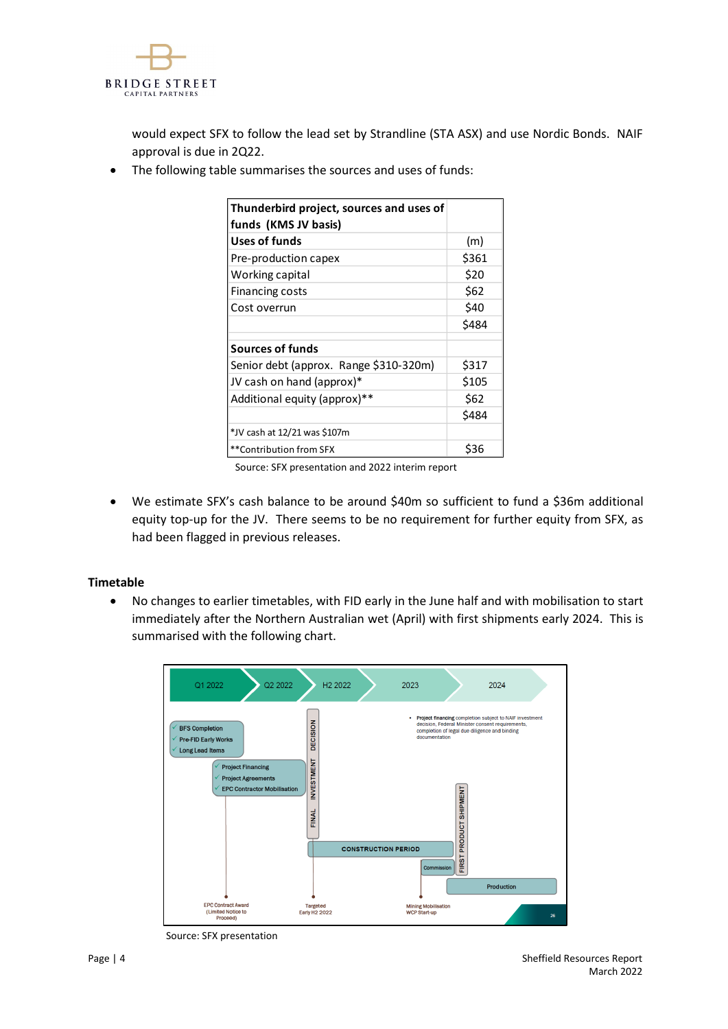

would expect SFX to follow the lead set by Strandline (STA ASX) and use Nordic Bonds. NAIF approval is due in 2Q22.

• The following table summarises the sources and uses of funds:

| Thunderbird project, sources and uses of<br>funds (KMS JV basis) |       |
|------------------------------------------------------------------|-------|
| Uses of funds                                                    | (m)   |
| Pre-production capex                                             | \$361 |
| Working capital                                                  | \$20  |
| <b>Financing costs</b>                                           | \$62  |
| Cost overrun                                                     | \$40  |
|                                                                  | \$484 |
| Sources of funds                                                 |       |
| Senior debt (approx. Range \$310-320m)                           | \$317 |
| JV cash on hand (approx)*                                        | \$105 |
| Additional equity (approx)**                                     | \$62  |
|                                                                  | \$484 |
| *JV cash at 12/21 was \$107m                                     |       |
| **Contribution from SFX                                          | \$36  |

Source: SFX presentation and 2022 interim report

• We estimate SFX's cash balance to be around \$40m so sufficient to fund a \$36m additional equity top-up for the JV. There seems to be no requirement for further equity from SFX, as had been flagged in previous releases.

### **Timetable**

• No changes to earlier timetables, with FID early in the June half and with mobilisation to start immediately after the Northern Australian wet (April) with first shipments early 2024. This is summarised with the following chart.



Source: SFX presentation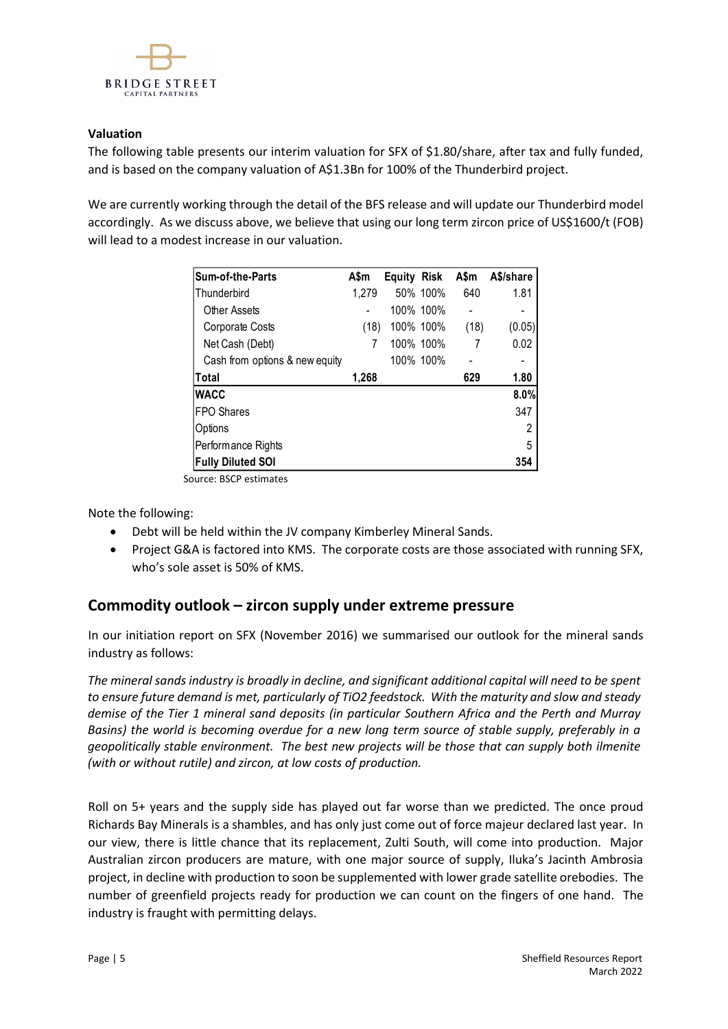

## **Valuation**

The following table presents our interim valuation for SFX of \$1.80/share, after tax and fully funded, and is based on the company valuation of A\$1.3Bn for 100% of the Thunderbird project.

We are currently working through the detail of the BFS release and will update our Thunderbird model accordingly. As we discuss above, we believe that using our long term zircon price of US\$1600/t (FOB) will lead to a modest increase in our valuation.

| <b>Sum-of-the-Parts</b>        | A\$m  | <b>Equity Risk</b> |           | A\$m | A\$/share |
|--------------------------------|-------|--------------------|-----------|------|-----------|
| Thunderbird                    | 1.279 |                    | 50% 100%  | 640  | 1.81      |
| Other Assets                   |       |                    | 100% 100% |      |           |
| Corporate Costs                | (18)  | 100% 100%          |           | (18) | (0.05)    |
| Net Cash (Debt)                |       |                    | 100% 100% |      | 0.02      |
| Cash from options & new equity |       |                    | 100% 100% |      |           |
| ∣Total                         | 1,268 |                    |           | 629  | 1.80      |
| <b>WACC</b>                    |       |                    |           |      | 8.0%      |
| <b>FPO Shares</b>              |       |                    |           |      | 347       |
| Options                        |       |                    |           |      | 2         |
| Performance Rights             |       |                    |           |      | 5         |
| <b>Fully Diluted SOI</b>       |       |                    |           |      | 354       |

Source: BSCP estimates

Note the following:

- Debt will be held within the JV company Kimberley Mineral Sands.
- Project G&A is factored into KMS. The corporate costs are those associated with running SFX, who's sole asset is 50% of KMS.

## **Commodity outlook – zircon supply under extreme pressure**

In our initiation report on SFX (November 2016) we summarised our outlook for the mineral sands industry as follows:

*The mineral sands industry is broadly in decline, and significant additional capital will need to be spent to ensure future demand is met, particularly of TiO2 feedstock. With the maturity and slow and steady demise of the Tier 1 mineral sand deposits (in particular Southern Africa and the Perth and Murray Basins) the world is becoming overdue for a new long term source of stable supply, preferably in a geopolitically stable environment. The best new projects will be those that can supply both ilmenite (with or without rutile) and zircon, at low costs of production.* 

Roll on 5+ years and the supply side has played out far worse than we predicted. The once proud Richards Bay Minerals is a shambles, and has only just come out of force majeur declared last year. In our view, there is little chance that its replacement, Zulti South, will come into production. Major Australian zircon producers are mature, with one major source of supply, Iluka's Jacinth Ambrosia project, in decline with production to soon be supplemented with lower grade satellite orebodies. The number of greenfield projects ready for production we can count on the fingers of one hand. The industry is fraught with permitting delays.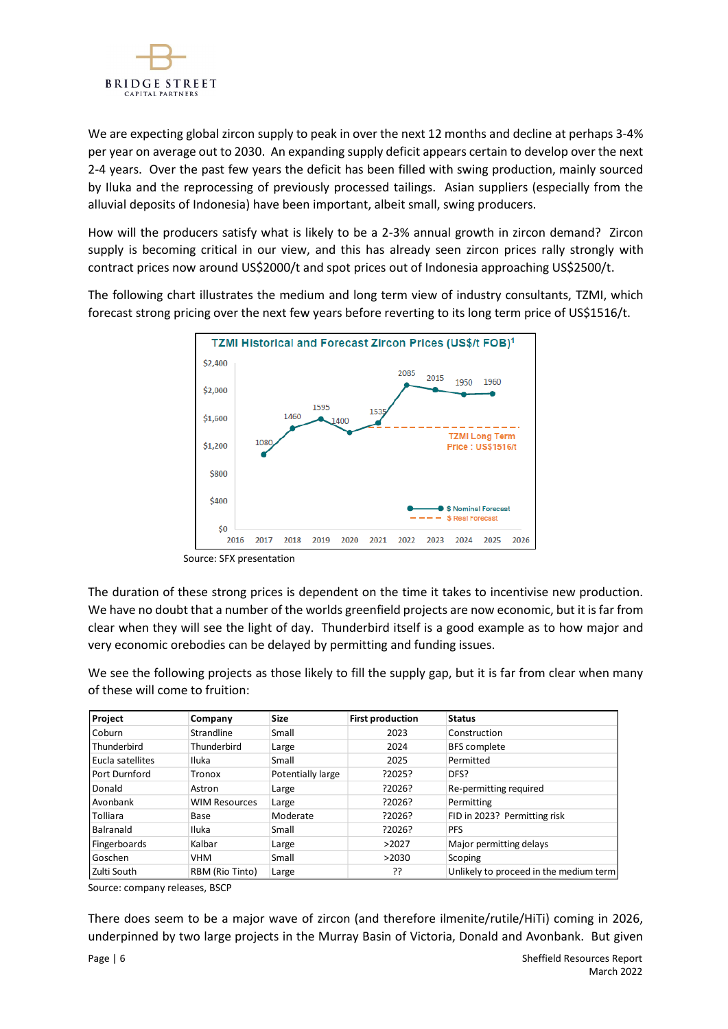

We are expecting global zircon supply to peak in over the next 12 months and decline at perhaps 3-4% per year on average out to 2030. An expanding supply deficit appears certain to develop over the next 2-4 years. Over the past few years the deficit has been filled with swing production, mainly sourced by Iluka and the reprocessing of previously processed tailings. Asian suppliers (especially from the alluvial deposits of Indonesia) have been important, albeit small, swing producers.

How will the producers satisfy what is likely to be a 2-3% annual growth in zircon demand? Zircon supply is becoming critical in our view, and this has already seen zircon prices rally strongly with contract prices now around US\$2000/t and spot prices out of Indonesia approaching US\$2500/t.

The following chart illustrates the medium and long term view of industry consultants, TZMI, which forecast strong pricing over the next few years before reverting to its long term price of US\$1516/t.



Source: SFX presentation

The duration of these strong prices is dependent on the time it takes to incentivise new production. We have no doubt that a number of the worlds greenfield projects are now economic, but it is far from clear when they will see the light of day. Thunderbird itself is a good example as to how major and very economic orebodies can be delayed by permitting and funding issues.

We see the following projects as those likely to fill the supply gap, but it is far from clear when many of these will come to fruition:

| Project          | Company              | <b>Size</b>       | <b>First production</b> | <b>Status</b>                          |
|------------------|----------------------|-------------------|-------------------------|----------------------------------------|
| Coburn           | Strandline           | Small             | 2023                    | Construction                           |
| l Thunderbird    | Thunderbird          | Large             | 2024                    | <b>BFS</b> complete                    |
| Eucla satellites | Iluka                | Small             | 2025                    | Permitted                              |
| Port Durnford    | Tronox               | Potentially large | ?2025?                  | DFS?                                   |
| Donald           | Astron               | Large             | ?2026?                  | Re-permitting required                 |
| Avonbank         | <b>WIM Resources</b> | Large             | ?2026?                  | Permitting                             |
| <b>Tolliara</b>  | Base                 | Moderate          | ?2026?                  | FID in 2023? Permitting risk           |
| Balranald        | <b>Iluka</b>         | Small             | ?2026?                  | <b>PFS</b>                             |
| Fingerboards     | Kalbar               | Large             | >2027                   | Major permitting delays                |
| Goschen          | VHM                  | Small             | >2030                   | Scoping                                |
| Zulti South      | RBM (Rio Tinto)      | Large             | ??                      | Unlikely to proceed in the medium term |

Source: company releases, BSCP

There does seem to be a major wave of zircon (and therefore ilmenite/rutile/HiTi) coming in 2026, underpinned by two large projects in the Murray Basin of Victoria, Donald and Avonbank. But given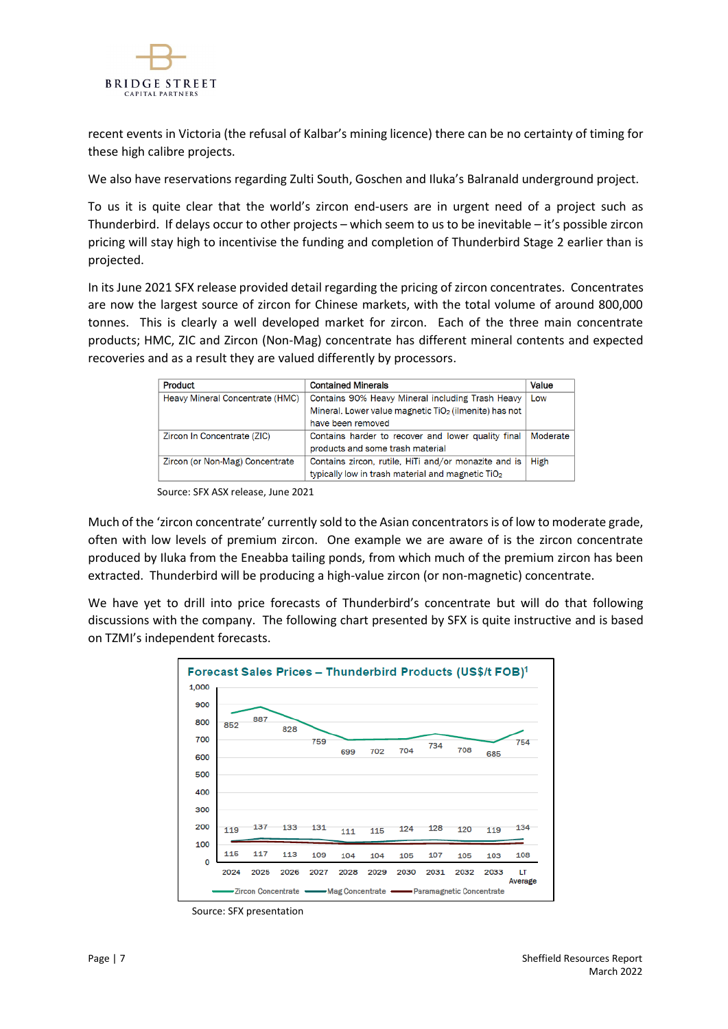

recent events in Victoria (the refusal of Kalbar's mining licence) there can be no certainty of timing for these high calibre projects.

We also have reservations regarding Zulti South, Goschen and Iluka's Balranald underground project.

To us it is quite clear that the world's zircon end-users are in urgent need of a project such as Thunderbird. If delays occur to other projects – which seem to us to be inevitable – it's possible zircon pricing will stay high to incentivise the funding and completion of Thunderbird Stage 2 earlier than is projected.

In its June 2021 SFX release provided detail regarding the pricing of zircon concentrates. Concentrates are now the largest source of zircon for Chinese markets, with the total volume of around 800,000 tonnes. This is clearly a well developed market for zircon. Each of the three main concentrate products; HMC, ZIC and Zircon (Non-Mag) concentrate has different mineral contents and expected recoveries and as a result they are valued differently by processors.

| Product                         | <b>Contained Minerals</b>                                         | Value    |
|---------------------------------|-------------------------------------------------------------------|----------|
| Heavy Mineral Concentrate (HMC) | Contains 90% Heavy Mineral including Trash Heavy                  | Low      |
|                                 | Mineral. Lower value magnetic TiO <sub>2</sub> (ilmenite) has not |          |
|                                 | have been removed                                                 |          |
| Zircon In Concentrate (ZIC)     | Contains harder to recover and lower quality final                | Moderate |
|                                 | products and some trash material                                  |          |
| Zircon (or Non-Mag) Concentrate | Contains zircon, rutile, HiTi and/or monazite and is              | High     |
|                                 | typically low in trash material and magnetic TiO <sub>2</sub>     |          |

Source: SFX ASX release, June 2021

Much of the 'zircon concentrate' currently sold to the Asian concentrators is of low to moderate grade, often with low levels of premium zircon. One example we are aware of is the zircon concentrate produced by Iluka from the Eneabba tailing ponds, from which much of the premium zircon has been extracted. Thunderbird will be producing a high-value zircon (or non-magnetic) concentrate.

We have yet to drill into price forecasts of Thunderbird's concentrate but will do that following discussions with the company. The following chart presented by SFX is quite instructive and is based on TZMI's independent forecasts.



Source: SFX presentation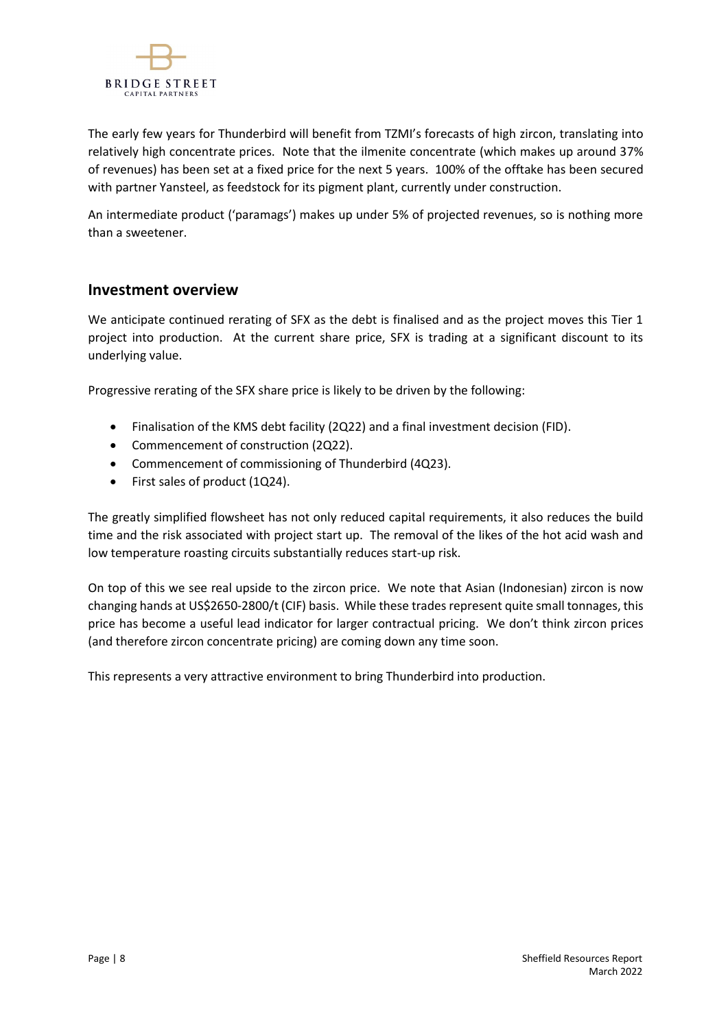

The early few years for Thunderbird will benefit from TZMI's forecasts of high zircon, translating into relatively high concentrate prices. Note that the ilmenite concentrate (which makes up around 37% of revenues) has been set at a fixed price for the next 5 years. 100% of the offtake has been secured with partner Yansteel, as feedstock for its pigment plant, currently under construction.

An intermediate product ('paramags') makes up under 5% of projected revenues, so is nothing more than a sweetener.

## **Investment overview**

We anticipate continued rerating of SFX as the debt is finalised and as the project moves this Tier 1 project into production. At the current share price, SFX is trading at a significant discount to its underlying value.

Progressive rerating of the SFX share price is likely to be driven by the following:

- Finalisation of the KMS debt facility (2Q22) and a final investment decision (FID).
- Commencement of construction (2Q22).
- Commencement of commissioning of Thunderbird (4Q23).
- First sales of product (1Q24).

The greatly simplified flowsheet has not only reduced capital requirements, it also reduces the build time and the risk associated with project start up. The removal of the likes of the hot acid wash and low temperature roasting circuits substantially reduces start-up risk.

On top of this we see real upside to the zircon price. We note that Asian (Indonesian) zircon is now changing hands at US\$2650-2800/t (CIF) basis. While these trades represent quite small tonnages, this price has become a useful lead indicator for larger contractual pricing. We don't think zircon prices (and therefore zircon concentrate pricing) are coming down any time soon.

This represents a very attractive environment to bring Thunderbird into production.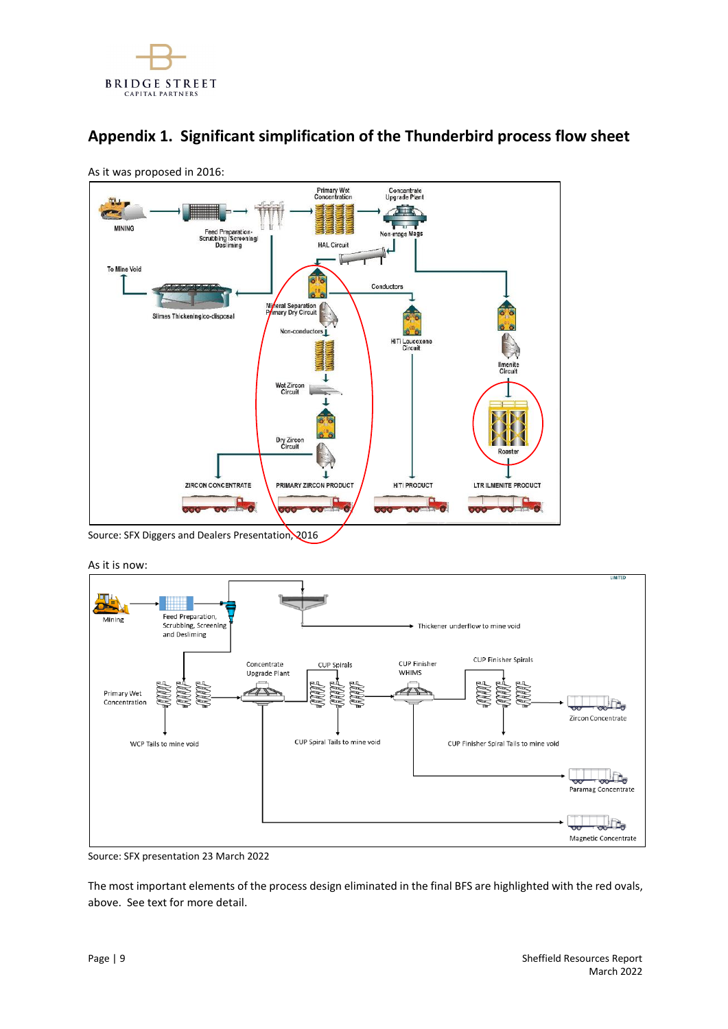

## **Appendix 1. Significant simplification of the Thunderbird process flow sheet**



As it was proposed in 2016:

Source: SFX Diggers and Dealers Presentation, 2016

As it is now:



Source: SFX presentation 23 March 2022

The most important elements of the process design eliminated in the final BFS are highlighted with the red ovals, above. See text for more detail.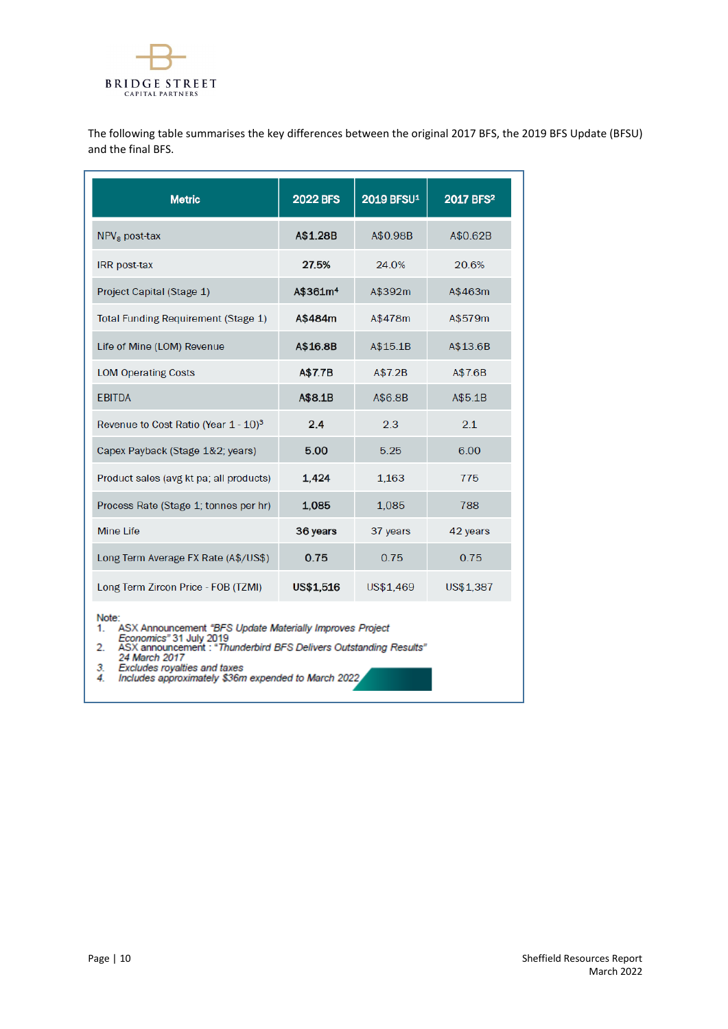

The following table summarises the key differences between the original 2017 BFS, the 2019 BFS Update (BFSU) and the final BFS.

| <b>Metric</b>                                    | <b>2022 BFS</b>      | 2019 BFSU <sup>1</sup> | 2017 BFS <sup>2</sup> |
|--------------------------------------------------|----------------------|------------------------|-----------------------|
| $NPV8$ post-tax                                  | A\$1.28B             | A\$0.98B               | A\$0.62B              |
| IRR post-tax                                     | 27.5%                | 24.0%                  | 20.6%                 |
| Project Capital (Stage 1)                        | A\$361m <sup>4</sup> | A\$392m                | A\$463m               |
| Total Funding Requirement (Stage 1)              | A\$484m              | A\$478m                | A\$579m               |
| Life of Mine (LOM) Revenue                       | A\$16.8B             | A\$15.1B               | A\$13.6B              |
| <b>LOM Operating Costs</b>                       | A\$7.7B              | A\$7.2B                | A\$7.6B               |
| <b>EBITDA</b>                                    | A\$8.1B              | A\$6.8B                | A\$5.1B               |
| Revenue to Cost Ratio (Year 1 - 10) <sup>3</sup> | 2.4                  | 2.3                    | 2.1                   |
| Capex Payback (Stage 1&2; years)                 | 5.00                 | 5.25                   | 6.00                  |
| Product sales (avg kt pa; all products)          | 1.424                | 1.163                  | 775                   |
| Process Rate (Stage 1; tonnes per hr)            | 1,085                | 1,085                  | 788                   |
| Mine Life                                        | 36 years             | 37 years               | 42 years              |
| Long Term Average FX Rate (A\$/US\$)             | 0.75                 | 0.75                   | 0.75                  |
| Long Term Zircon Price - FOB (TZMI)              | US\$1,516            | US\$1,469              | US\$1,387             |

Note:

 $1.$ 

- te:<br>ASX Announcement "BFS Update Materially Improves Project<br>Economics" 31 July 2019<br>ASX announcement : "Thunderbird BFS Delivers Outstanding Results"<br>24 March 2017<br>Excludes royalties and taxes<br>Includes approximately \$36m  $\overline{2}$
- 
- $\frac{3}{4}$
-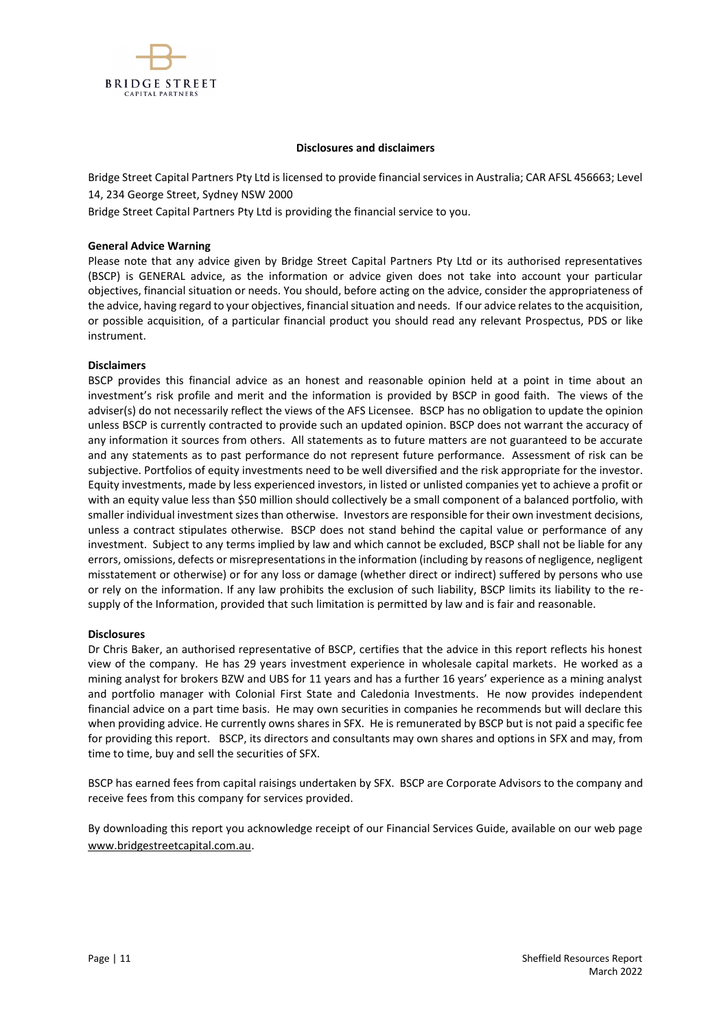

#### **Disclosures and disclaimers**

Bridge Street Capital Partners Pty Ltd is licensed to provide financial services in Australia; CAR AFSL 456663; Level 14, 234 George Street, Sydney NSW 2000

Bridge Street Capital Partners Pty Ltd is providing the financial service to you.

#### **General Advice Warning**

Please note that any advice given by Bridge Street Capital Partners Pty Ltd or its authorised representatives (BSCP) is GENERAL advice, as the information or advice given does not take into account your particular objectives, financial situation or needs. You should, before acting on the advice, consider the appropriateness of the advice, having regard to your objectives, financial situation and needs. If our advice relates to the acquisition, or possible acquisition, of a particular financial product you should read any relevant Prospectus, PDS or like instrument.

#### **Disclaimers**

BSCP provides this financial advice as an honest and reasonable opinion held at a point in time about an investment's risk profile and merit and the information is provided by BSCP in good faith. The views of the adviser(s) do not necessarily reflect the views of the AFS Licensee. BSCP has no obligation to update the opinion unless BSCP is currently contracted to provide such an updated opinion. BSCP does not warrant the accuracy of any information it sources from others. All statements as to future matters are not guaranteed to be accurate and any statements as to past performance do not represent future performance. Assessment of risk can be subjective. Portfolios of equity investments need to be well diversified and the risk appropriate for the investor. Equity investments, made by less experienced investors, in listed or unlisted companies yet to achieve a profit or with an equity value less than \$50 million should collectively be a small component of a balanced portfolio, with smaller individual investment sizes than otherwise. Investors are responsible for their own investment decisions, unless a contract stipulates otherwise. BSCP does not stand behind the capital value or performance of any investment. Subject to any terms implied by law and which cannot be excluded, BSCP shall not be liable for any errors, omissions, defects or misrepresentations in the information (including by reasons of negligence, negligent misstatement or otherwise) or for any loss or damage (whether direct or indirect) suffered by persons who use or rely on the information. If any law prohibits the exclusion of such liability, BSCP limits its liability to the resupply of the Information, provided that such limitation is permitted by law and is fair and reasonable.

#### **Disclosures**

Dr Chris Baker, an authorised representative of BSCP, certifies that the advice in this report reflects his honest view of the company. He has 29 years investment experience in wholesale capital markets. He worked as a mining analyst for brokers BZW and UBS for 11 years and has a further 16 years' experience as a mining analyst and portfolio manager with Colonial First State and Caledonia Investments. He now provides independent financial advice on a part time basis. He may own securities in companies he recommends but will declare this when providing advice. He currently owns shares in SFX. He is remunerated by BSCP but is not paid a specific fee for providing this report. BSCP, its directors and consultants may own shares and options in SFX and may, from time to time, buy and sell the securities of SFX.

BSCP has earned fees from capital raisings undertaken by SFX. BSCP are Corporate Advisors to the company and receive fees from this company for services provided.

By downloading this report you acknowledge receipt of our Financial Services Guide, available on our web page [www.bridgestreetcapital.com.au.](http://www.bridgestreetcapital.com.au/)